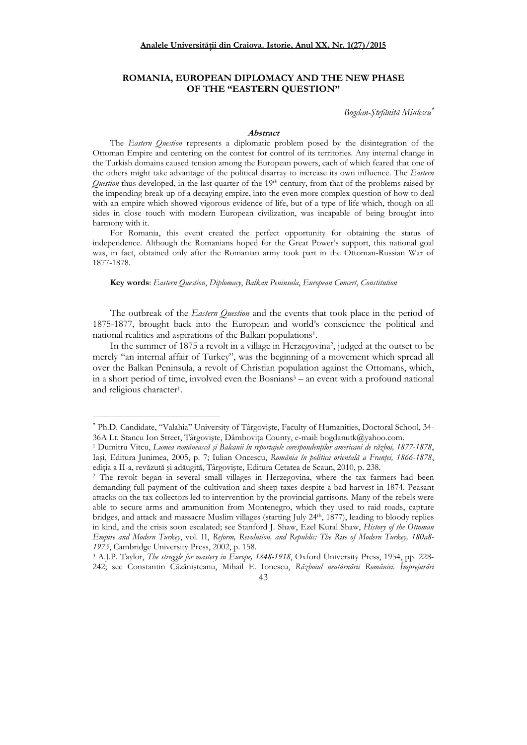# **ROMANIA, EUROPEAN DIPLOMACY AND THE NEW PHASE OF THE "EASTERN QUESTION"**

Bogdan-Ştefăniță Miulescu<sup>∗</sup>

### **Abstract**

The *Eastern Question* represents a diplomatic problem posed by the disintegration of the Ottoman Empire and centering on the contest for control of its territories. Any internal change in the Turkish domains caused tension among the European powers, each of which feared that one of the others might take advantage of the political disarray to increase its own influence. The *Eastern Question* thus developed, in the last quarter of the 19<sup>th</sup> century, from that of the problems raised by the impending break-up of a decaying empire, into the even more complex question of how to deal with an empire which showed vigorous evidence of life, but of a type of life which, though on all sides in close touch with modern European civilization, was incapable of being brought into harmony with it.

For Romania, this event created the perfect opportunity for obtaining the status of independence. Although the Romanians hoped for the Great Power's support, this national goal was, in fact, obtained only after the Romanian army took part in the Ottoman-Russian War of 1877-1878.

### **Key words**: *Eastern Question*, *Diplomacy*, *Balkan Peninsula*, *European Concert*, *Constitution*

The outbreak of the *Eastern Question* and the events that took place in the period of 1875-1877, brought back into the European and world's conscience the political and national realities and aspirations of the Balkan populations<sup>1</sup> .

In the summer of 1875 a revolt in a village in Herzegovina<sup>2</sup> , judged at the outset to be merely "an internal affair of Turkey", was the beginning of a movement which spread all over the Balkan Peninsula, a revolt of Christian population against the Ottomans, which, in a short period of time, involved even the Bosnians<sup>3</sup> – an event with a profound national and religious character<sup>1</sup>.

<sup>3</sup> A.J.P. Taylor, *The struggle for mastery in Europe, 1848-1918*, Oxford University Press, 1954, pp. 228- 242; see Constantin Căzănişteanu, Mihail E. Ionescu, *Războiul neatârnării României. Împrejurări* 



<sup>∗</sup> Ph.D. Candidate, "Valahia" University of Târgovişte, Faculty of Humanities, Doctoral School, 34- 36A Lt. Stancu Ion Street, Târgoviște, Dâmbovița County, e-mail: bogdanutk@yahoo.com.

<sup>&</sup>lt;sup>1</sup> Dumitru Vitcu, *Lumea românească și Balcanii în reportajele corespondenților americani de război, 1877-1878*, Iași, Editura Junimea, 2005, p. 7; Iulian Oncescu, *România în politica orientală a Frantei, 1866-1878*, ediția a II-a, revăzută și adăugită, Târgoviște, Editura Cetatea de Scaun, 2010, p. 238.

<sup>2</sup> The revolt began in several small villages in Herzegovina, where the tax farmers had been demanding full payment of the cultivation and sheep taxes despite a bad harvest in 1874. Peasant attacks on the tax collectors led to intervention by the provincial garrisons. Many of the rebels were able to secure arms and ammunition from Montenegro, which they used to raid roads, capture bridges, and attack and massacre Muslim villages (starting July 24th, 1877), leading to bloody replies in kind, and the crisis soon escalated; see Stanford J. Shaw, Ezel Kural Shaw, *History of the Ottoman Empire and Modern Turkey*, vol. II, *Reform, Revolution, and Republic: The Rise of Modern Turkey, 180a8- 1975*, Cambridge University Press, 2002, p. 158.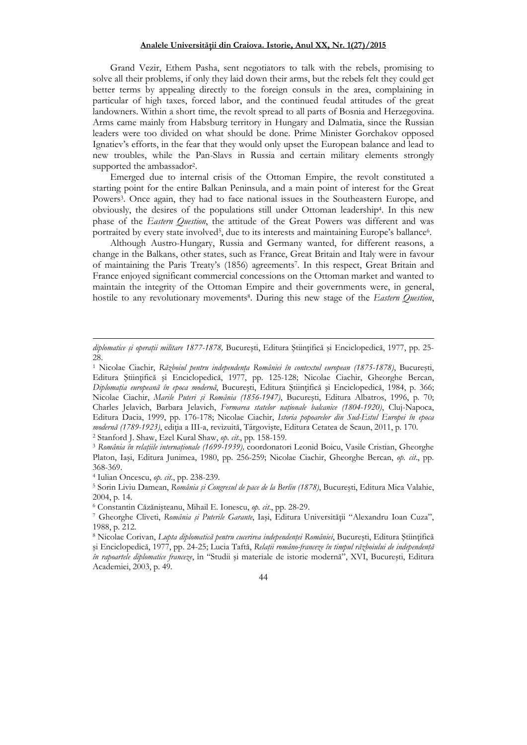## Analele Universității din Craiova. Istorie, Anul XX, Nr. 1(27)/2015

Grand Vezir, Ethem Pasha, sent negotiators to talk with the rebels, promising to solve all their problems, if only they laid down their arms, but the rebels felt they could get better terms by appealing directly to the foreign consuls in the area, complaining in particular of high taxes, forced labor, and the continued feudal attitudes of the great landowners. Within a short time, the revolt spread to all parts of Bosnia and Herzegovina. Arms came mainly from Habsburg territory in Hungary and Dalmatia, since the Russian leaders were too divided on what should be done. Prime Minister Gorchakov opposed Ignatiev's efforts, in the fear that they would only upset the European balance and lead to new troubles, while the Pan-Slavs in Russia and certain military elements strongly supported the ambassador<sup>2</sup>.

Emerged due to internal crisis of the Ottoman Empire, the revolt constituted a starting point for the entire Balkan Peninsula, and a main point of interest for the Great Powers<sup>3</sup>. Once again, they had to face national issues in the Southeastern Europe, and obviously, the desires of the populations still under Ottoman leadership<sup>4</sup> . In this new phase of the *Eastern Question*, the attitude of the Great Powers was different and was portraited by every state involved<sup>5</sup>, due to its interests and maintaining Europe's ballance<sup>6</sup>.

Although Austro-Hungary, Russia and Germany wanted, for different reasons, a change in the Balkans, other states, such as France, Great Britain and Italy were in favour of maintaining the Paris Treaty's (1856) agreements<sup>7</sup> . In this respect, Great Britain and France enjoyed significant commercial concessions on the Ottoman market and wanted to maintain the integrity of the Ottoman Empire and their governments were, in general, hostile to any revolutionary movements<sup>8</sup>. During this new stage of the *Eastern Question*,

2 Stanford J. Shaw, Ezel Kural Shaw, *op. cit*., pp. 158-159.

diplomatice și operații militare 1877-1878, București, Editura Științifică și Enciclopedică, 1977, pp. 25-28

<sup>&</sup>lt;sup>1</sup> Nicolae Ciachir, *Războiul pentru independența României în contextul european (1875-1878)*, București, Editura Științifică și Enciclopedică, 1977, pp. 125-128; Nicolae Ciachir, Gheorghe Bercan, *DiplomaŃia europeană în epoca modernă*, Bucureşti, Editura ŞtiinŃifică şi Enciclopedică, 1984, p. 366; Nicolae Ciachir, *Marile Puteri şi România (1856-1947)*, Bucureşti, Editura Albatros, 1996, p. 70; Charles Jelavich, Barbara Jelavich, *Formarea statelor naționale balcanice (1804-1920)*, Cluj-Napoca, Editura Dacia, 1999, pp. 176-178; Nicolae Ciachir, *Istoria popoarelor din Sud-Estul Europei în epoca*  modernă (1789-1923), ediția a III-a, revizuită, Târgoviște, Editura Cetatea de Scaun, 2011, p. 170.

<sup>&</sup>lt;sup>3</sup> România în relațiile internaționale (1699-1939), coordonatori Leonid Boicu, Vasile Cristian, Gheorghe Platon, Iaşi, Editura Junimea, 1980, pp. 256-259; Nicolae Ciachir, Gheorghe Bercan, *op. cit*., pp. 368-369.

<sup>4</sup> Iulian Oncescu, *op. cit*., pp. 238-239.

<sup>5</sup> Sorin Liviu Damean, *România şi Congresul de pace de la Berlin (1878)*, Bucureşti, Editura Mica Valahie, 2004, p. 14.

<sup>6</sup> Constantin Căzănişteanu, Mihail E. Ionescu, *op. cit*., pp. 28-29.

<sup>&</sup>lt;sup>7</sup> Gheorghe Cliveti, România și Puterile Garante, Iași, Editura Universității "Alexandru Ioan Cuza", 1988, p. 212.

<sup>&</sup>lt;sup>8</sup> Nicolae Corivan, *Lupta diplomatică pentru cucerirea independenței României*, București, Editura Științifică și Enciclopedică, 1977, pp. 24-25; Lucia Taftă, Relații româno-franceze în timpul războiului de independență *în rapoartele diplomatice franceze*, în "Studii şi materiale de istorie modernă", XVI, Bucureşti, Editura Academiei, 2003, p. 49.

<sup>44</sup>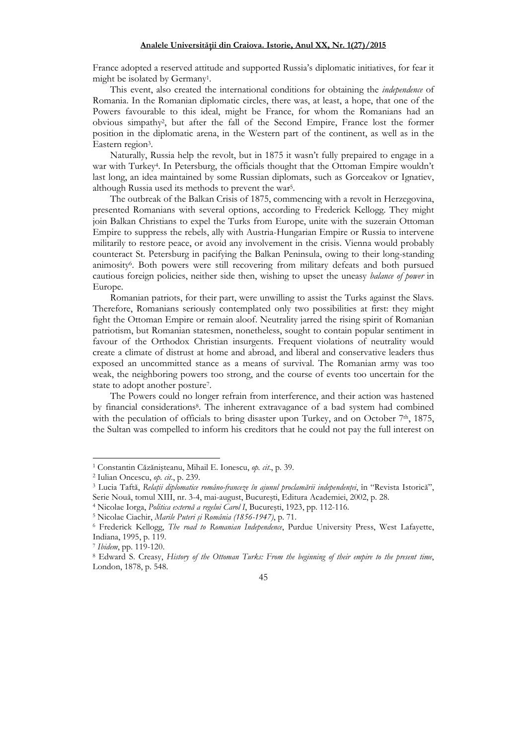France adopted a reserved attitude and supported Russia's diplomatic initiatives, for fear it might be isolated by Germany<sup>1</sup> .

This event, also created the international conditions for obtaining the *independence* of Romania. In the Romanian diplomatic circles, there was, at least, a hope, that one of the Powers favourable to this ideal, might be France, for whom the Romanians had an obvious simpathy<sup>2</sup> , but after the fall of the Second Empire, France lost the former position in the diplomatic arena, in the Western part of the continent, as well as in the Eastern region<sup>3</sup>.

Naturally, Russia help the revolt, but in 1875 it wasn't fully prepaired to engage in a war with Turkey<sup>4</sup> . In Petersburg, the officials thought that the Ottoman Empire wouldn't last long, an idea maintained by some Russian diplomats, such as Gorceakov or Ignatiev, although Russia used its methods to prevent the war<sup>5</sup> .

The outbreak of the Balkan Crisis of 1875, commencing with a revolt in Herzegovina, presented Romanians with several options, according to Frederick Kellogg. They might join Balkan Christians to expel the Turks from Europe, unite with the suzerain Ottoman Empire to suppress the rebels, ally with Austria-Hungarian Empire or Russia to intervene militarily to restore peace, or avoid any involvement in the crisis. Vienna would probably counteract St. Petersburg in pacifying the Balkan Peninsula, owing to their long-standing animosity<sup>6</sup> . Both powers were still recovering from military defeats and both pursued cautious foreign policies, neither side then, wishing to upset the uneasy *balance of power* in Europe.

Romanian patriots, for their part, were unwilling to assist the Turks against the Slavs. Therefore, Romanians seriously contemplated only two possibilities at first: they might fight the Ottoman Empire or remain aloof. Neutrality jarred the rising spirit of Romanian patriotism, but Romanian statesmen, nonetheless, sought to contain popular sentiment in favour of the Orthodox Christian insurgents. Frequent violations of neutrality would create a climate of distrust at home and abroad, and liberal and conservative leaders thus exposed an uncommitted stance as a means of survival. The Romanian army was too weak, the neighboring powers too strong, and the course of events too uncertain for the state to adopt another posture<sup>7</sup>.

The Powers could no longer refrain from interference, and their action was hastened by financial considerations<sup>8</sup>. The inherent extravagance of a bad system had combined with the peculation of officials to bring disaster upon Turkey, and on October  $7<sup>th</sup>$ , 1875, the Sultan was compelled to inform his creditors that he could not pay the full interest on

7 *Ibidem*, pp. 119-120.

<sup>1</sup> Constantin Căzănişteanu, Mihail E. Ionescu, *op. cit*., p. 39.

<sup>2</sup> Iulian Oncescu, *op. cit*., p. 239.

<sup>&</sup>lt;sup>3</sup> Lucia Taftă, R*elații diplomatice româno-franceze în ajunul proclamării independenței,* în "Revista Istorică", Serie Nouă, tomul XIII, nr. 3-4, mai-august, Bucureşti, Editura Academiei, 2002, p. 28.

<sup>4</sup> Nicolae Iorga, *Politica externă a regelui Carol I*, Bucureşti, 1923, pp. 112-116.

<sup>5</sup> Nicolae Ciachir, *Marile Puteri şi România (1856-1947)*, p. 71.

<sup>6</sup> Frederick Kellogg, *The road to Romanian Independence*, Purdue University Press, West Lafayette, Indiana, 1995, p. 119.

<sup>8</sup> Edward S. Creasy, *History of the Ottoman Turks: From the beginning of their empire to the present time*, London, 1878, p. 548.

<sup>45</sup>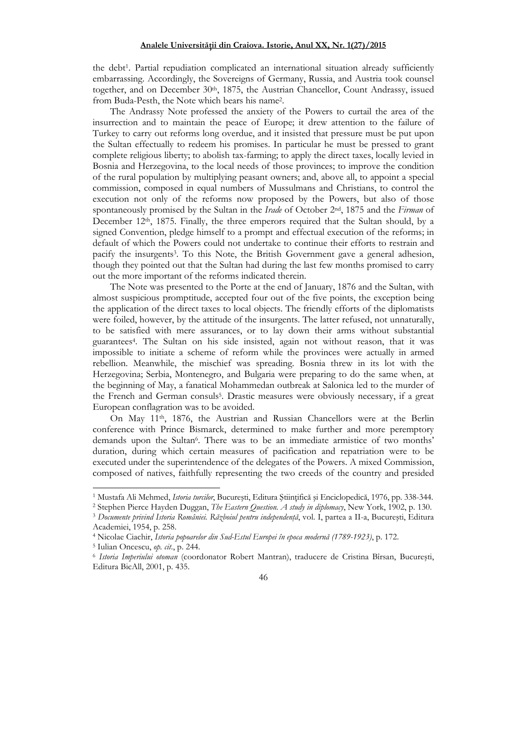the debt<sup>1</sup> . Partial repudiation complicated an international situation already sufficiently embarrassing. Accordingly, the Sovereigns of Germany, Russia, and Austria took counsel together, and on December 30th, 1875, the Austrian Chancellor, Count Andrassy, issued from Buda-Pesth, the Note which bears his name<sup>2</sup> .

The Andrassy Note professed the anxiety of the Powers to curtail the area of the insurrection and to maintain the peace of Europe; it drew attention to the failure of Turkey to carry out reforms long overdue, and it insisted that pressure must be put upon the Sultan effectually to redeem his promises. In particular he must be pressed to grant complete religious liberty; to abolish tax-farming; to apply the direct taxes, locally levied in Bosnia and Herzegovina, to the local needs of those provinces; to improve the condition of the rural population by multiplying peasant owners; and, above all, to appoint a special commission, composed in equal numbers of Mussulmans and Christians, to control the execution not only of the reforms now proposed by the Powers, but also of those spontaneously promised by the Sultan in the *Irade* of October 2nd, 1875 and the *Firman* of December 12<sup>th</sup>, 1875. Finally, the three emperors required that the Sultan should, by a signed Convention, pledge himself to a prompt and effectual execution of the reforms; in default of which the Powers could not undertake to continue their efforts to restrain and pacify the insurgents<sup>3</sup>. To this Note, the British Government gave a general adhesion, though they pointed out that the Sultan had during the last few months promised to carry out the more important of the reforms indicated therein.

The Note was presented to the Porte at the end of January, 1876 and the Sultan, with almost suspicious promptitude, accepted four out of the five points, the exception being the application of the direct taxes to local objects. The friendly efforts of the diplomatists were foiled, however, by the attitude of the insurgents. The latter refused, not unnaturally, to be satisfied with mere assurances, or to lay down their arms without substantial guarantees<sup>4</sup> . The Sultan on his side insisted, again not without reason, that it was impossible to initiate a scheme of reform while the provinces were actually in armed rebellion. Meanwhile, the mischief was spreading. Bosnia threw in its lot with the Herzegovina; Serbia, Montenegro, and Bulgaria were preparing to do the same when, at the beginning of May, a fanatical Mohammedan outbreak at Salonica led to the murder of the French and German consuls<sup>5</sup>. Drastic measures were obviously necessary, if a great European conflagration was to be avoided.

On May 11th, 1876, the Austrian and Russian Chancellors were at the Berlin conference with Prince Bismarck, determined to make further and more peremptory demands upon the Sultan<sup>6</sup>. There was to be an immediate armistice of two months' duration, during which certain measures of pacification and repatriation were to be executed under the superintendence of the delegates of the Powers. A mixed Commission, composed of natives, faithfully representing the two creeds of the country and presided

<sup>6</sup> *Istoria Imperiului otoman* (coordonator Robert Mantran), traducere de Cristina Bîrsan, Bucureşti, Editura BicAll, 2001, p. 435.



<sup>&</sup>lt;sup>1</sup> Mustafa Ali Mehmed, *Istoria turcilor*, București, Editura Științifică și Enciclopedică, 1976, pp. 338-344.

<sup>2</sup> Stephen Pierce Hayden Duggan, *The Eastern Question. A study in diplomacy*, New York, 1902, p. 130.

<sup>&</sup>lt;sup>3</sup> Documente privind Istoria României. Războiul pentru independență, vol. I, partea a II-a, București, Editura Academiei, 1954, p. 258.

<sup>4</sup> Nicolae Ciachir, *Istoria popoarelor din Sud-Estul Europei în epoca modernă (1789-1923)*, p. 172.

<sup>5</sup> Iulian Oncescu, *op. cit*., p. 244.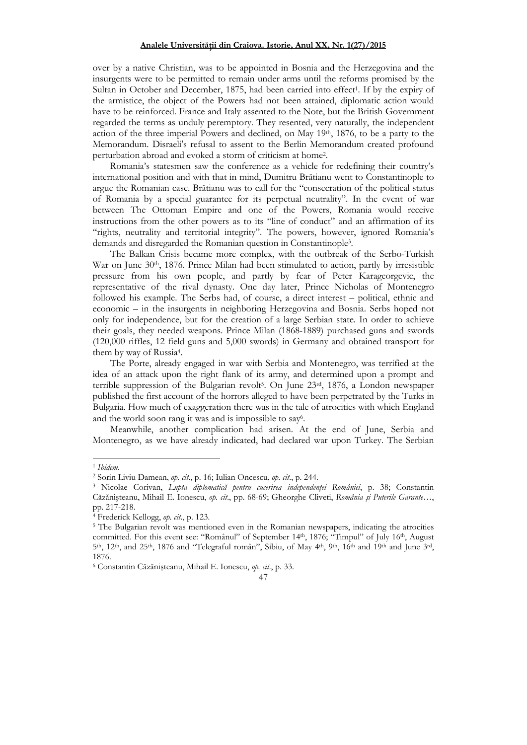over by a native Christian, was to be appointed in Bosnia and the Herzegovina and the insurgents were to be permitted to remain under arms until the reforms promised by the Sultan in October and December, 1875, had been carried into effect<sup>1</sup>. If by the expiry of the armistice, the object of the Powers had not been attained, diplomatic action would have to be reinforced. France and Italy assented to the Note, but the British Government regarded the terms as unduly peremptory. They resented, very naturally, the independent action of the three imperial Powers and declined, on May 19th, 1876, to be a party to the Memorandum. Disraeli's refusal to assent to the Berlin Memorandum created profound perturbation abroad and evoked a storm of criticism at home<sup>2</sup> .

Romania's statesmen saw the conference as a vehicle for redefining their country's international position and with that in mind, Dumitru Brătianu went to Constantinople to argue the Romanian case. Brătianu was to call for the "consecration of the political status of Romania by a special guarantee for its perpetual neutrality". In the event of war between The Ottoman Empire and one of the Powers, Romania would receive instructions from the other powers as to its "line of conduct" and an affirmation of its "rights, neutrality and territorial integrity". The powers, however, ignored Romania's demands and disregarded the Romanian question in Constantinople<sup>3</sup> .

The Balkan Crisis became more complex, with the outbreak of the Serbo-Turkish War on June  $30<sup>th</sup>$ , 1876. Prince Milan had been stimulated to action, partly by irresistible pressure from his own people, and partly by fear of Peter Karageorgevic, the representative of the rival dynasty. One day later, Prince Nicholas of Montenegro followed his example. The Serbs had, of course, a direct interest – political, ethnic and economic – in the insurgents in neighboring Herzegovina and Bosnia. Serbs hoped not only for independence, but for the creation of a large Serbian state. In order to achieve their goals, they needed weapons. Prince Milan (1868-1889) purchased guns and swords (120,000 riffles, 12 field guns and 5,000 swords) in Germany and obtained transport for them by way of Russia<sup>4</sup> .

The Porte, already engaged in war with Serbia and Montenegro, was terrified at the idea of an attack upon the right flank of its army, and determined upon a prompt and terrible suppression of the Bulgarian revolt<sup>5</sup>. On June 23<sup>rd</sup>, 1876, a London newspaper published the first account of the horrors alleged to have been perpetrated by the Turks in Bulgaria. How much of exaggeration there was in the tale of atrocities with which England and the world soon rang it was and is impossible to say<sup>6</sup>.

Meanwhile, another complication had arisen. At the end of June, Serbia and Montenegro, as we have already indicated, had declared war upon Turkey. The Serbian

<sup>1</sup> *Ibidem*.

<sup>2</sup> Sorin Liviu Damean, *op. cit*., p. 16; Iulian Oncescu, *op. cit*., p. 244.

<sup>&</sup>lt;sup>3</sup> Nicolae Corivan, *Lupta diplomatică pentru cucerirea independenței României*, p. 38; Constantin Căzănişteanu, Mihail E. Ionescu, *op. cit*., pp. 68-69; Gheorghe Cliveti, *România şi Puterile Garante*…, pp. 217-218.

<sup>4</sup> Frederick Kellogg, *op. cit*., p. 123.

<sup>&</sup>lt;sup>5</sup> The Bulgarian revolt was mentioned even in the Romanian newspapers, indicating the atrocities committed. For this event see: "Românul" of September 14<sup>th</sup>, 1876; "Timpul" of July 16<sup>th</sup>, August  $5<sup>th</sup>$ ,  $12<sup>th</sup>$ , and  $25<sup>th</sup>$ ,  $1876$  and "Telegraful român", Sibiu, of May  $4<sup>th</sup>$ ,  $9<sup>th</sup>$ ,  $16<sup>th</sup>$  and  $19<sup>th</sup>$  and June  $3<sup>rd</sup>$ , 1876.

<sup>6</sup> Constantin Căzănişteanu, Mihail E. Ionescu, *op. cit*., p. 33.

<sup>47</sup>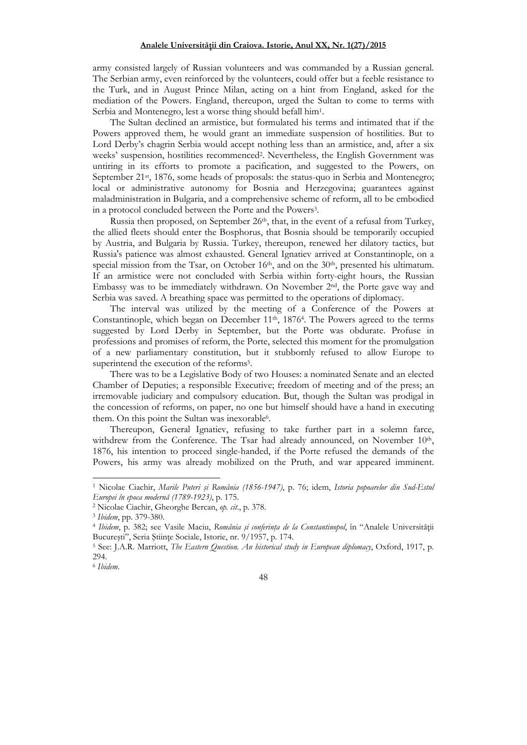army consisted largely of Russian volunteers and was commanded by a Russian general. The Serbian army, even reinforced by the volunteers, could offer but a feeble resistance to the Turk, and in August Prince Milan, acting on a hint from England, asked for the mediation of the Powers. England, thereupon, urged the Sultan to come to terms with Serbia and Montenegro, lest a worse thing should befall him<sup>1</sup> .

The Sultan declined an armistice, but formulated his terms and intimated that if the Powers approved them, he would grant an immediate suspension of hostilities. But to Lord Derby's chagrin Serbia would accept nothing less than an armistice, and, after a six weeks' suspension, hostilities recommenced<sup>2</sup> . Nevertheless, the English Government was untiring in its efforts to promote a pacification, and suggested to the Powers, on September 21<sup>st</sup>, 1876, some heads of proposals: the status-quo in Serbia and Montenegro; local or administrative autonomy for Bosnia and Herzegovina; guarantees against maladministration in Bulgaria, and a comprehensive scheme of reform, all to be embodied in a protocol concluded between the Porte and the Powers<sup>3</sup> .

Russia then proposed, on September 26<sup>th</sup>, that, in the event of a refusal from Turkey, the allied fleets should enter the Bosphorus, that Bosnia should be temporarily occupied by Austria, and Bulgaria by Russia. Turkey, thereupon, renewed her dilatory tactics, but Russia's patience was almost exhausted. General Ignatiev arrived at Constantinople, on a special mission from the Tsar, on October  $16<sup>th</sup>$ , and on the  $30<sup>th</sup>$ , presented his ultimatum. If an armistice were not concluded with Serbia within forty-eight hours, the Russian Embassy was to be immediately withdrawn. On November 2nd, the Porte gave way and Serbia was saved. A breathing space was permitted to the operations of diplomacy.

The interval was utilized by the meeting of a Conference of the Powers at Constantinople, which began on December 11<sup>th</sup>, 1876<sup>4</sup>. The Powers agreed to the terms suggested by Lord Derby in September, but the Porte was obdurate. Profuse in professions and promises of reform, the Porte, selected this moment for the promulgation of a new parliamentary constitution, but it stubbornly refused to allow Europe to superintend the execution of the reforms<sup>5</sup>.

There was to be a Legislative Body of two Houses: a nominated Senate and an elected Chamber of Deputies; a responsible Executive; freedom of meeting and of the press; an irremovable judiciary and compulsory education. But, though the Sultan was prodigal in the concession of reforms, on paper, no one but himself should have a hand in executing them. On this point the Sultan was inexorable<sup>6</sup>.

Thereupon, General Ignatiev, refusing to take further part in a solemn farce, withdrew from the Conference. The Tsar had already announced, on November 10<sup>th</sup>, 1876, his intention to proceed single-handed, if the Porte refused the demands of the Powers, his army was already mobilized on the Pruth, and war appeared imminent.

<sup>1</sup> Nicolae Ciachir, *Marile Puteri şi România (1856-1947)*, p. 76; idem, *Istoria popoarelor din Sud-Estul Europei în epoca modernă (1789-1923)*, p. 175.

<sup>2</sup> Nicolae Ciachir, Gheorghe Bercan, *op. cit*., p. 378.

<sup>3</sup> *Ibidem*, pp. 379-380.

<sup>&</sup>lt;sup>4</sup> Ibidem, p. 382; see Vasile Maciu, România și conferința de la Constantinopol, în "Analele Universității București", Seria Științe Sociale, Istorie, nr. 9/1957, p. 174.

<sup>5</sup> See: J.A.R. Marriott, *The Eastern Question. An historical study in European diplomacy*, Oxford, 1917, p. 294.

<sup>6</sup> *Ibidem*.

<sup>48</sup>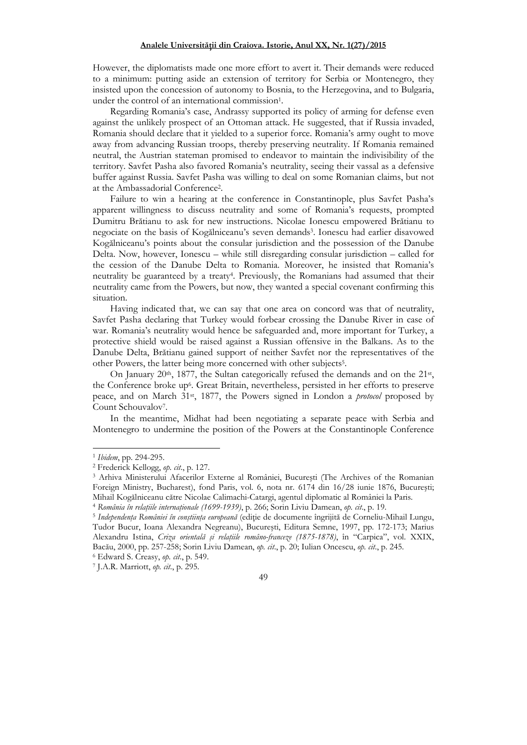However, the diplomatists made one more effort to avert it. Their demands were reduced to a minimum: putting aside an extension of territory for Serbia or Montenegro, they insisted upon the concession of autonomy to Bosnia, to the Herzegovina, and to Bulgaria, under the control of an international commission<sup>1</sup>.

Regarding Romania's case, Andrassy supported its policy of arming for defense even against the unlikely prospect of an Ottoman attack. He suggested, that if Russia invaded, Romania should declare that it yielded to a superior force. Romania's army ought to move away from advancing Russian troops, thereby preserving neutrality. If Romania remained neutral, the Austrian stateman promised to endeavor to maintain the indivisibility of the territory. Savfet Pasha also favored Romania's neutrality, seeing their vassal as a defensive buffer against Russia. Savfet Pasha was willing to deal on some Romanian claims, but not at the Ambassadorial Conference<sup>2</sup> .

Failure to win a hearing at the conference in Constantinople, plus Savfet Pasha's apparent willingness to discuss neutrality and some of Romania's requests, prompted Dumitru Brătianu to ask for new instructions. Nicolae Ionescu empowered Brătianu to negociate on the basis of Kogălniceanu's seven demands<sup>3</sup> . Ionescu had earlier disavowed Kogălniceanu's points about the consular jurisdiction and the possession of the Danube Delta. Now, however, Ionescu – while still disregarding consular jurisdiction – called for the cession of the Danube Delta to Romania. Moreover, he insisted that Romania's neutrality be guaranteed by a treaty<sup>4</sup> . Previously, the Romanians had assumed that their neutrality came from the Powers, but now, they wanted a special covenant confirming this situation.

Having indicated that, we can say that one area on concord was that of neutrality, Savfet Pasha declaring that Turkey would forbear crossing the Danube River in case of war. Romania's neutrality would hence be safeguarded and, more important for Turkey, a protective shield would be raised against a Russian offensive in the Balkans. As to the Danube Delta, Brătianu gained support of neither Savfet nor the representatives of the other Powers, the latter being more concerned with other subjects<sup>5</sup>.

On January 20<sup>th</sup>, 1877, the Sultan categorically refused the demands and on the 21<sup>st</sup>, the Conference broke up<sup>6</sup>. Great Britain, nevertheless, persisted in her efforts to preserve peace, and on March 31st, 1877, the Powers signed in London a *protocol* proposed by Count Schouvalov<sup>7</sup>.

In the meantime, Midhat had been negotiating a separate peace with Serbia and Montenegro to undermine the position of the Powers at the Constantinople Conference

<sup>1</sup> *Ibidem*, pp. 294-295.

<sup>2</sup> Frederick Kellogg, *op. cit*., p. 127.

<sup>3</sup> Arhiva Ministerului Afacerilor Externe al României, Bucureşti (The Archives of the Romanian Foreign Ministry, Bucharest), fond Paris, vol. 6, nota nr. 6174 din 16/28 iunie 1876, Bucureşti; Mihail Kogălniceanu către Nicolae Calimachi-Catargi, agentul diplomatic al României la Paris.

<sup>&</sup>lt;sup>4</sup> România în relațiile internaționale (1699-1939), p. 266; Sorin Liviu Damean, op. cit., p. 19.

<sup>&</sup>lt;sup>5</sup> I*ndependența României în conștiința europeană* (ediție de documente îngrijită de Corneliu-Mihail Lungu, Tudor Bucur, Ioana Alexandra Negreanu), Bucureşti, Editura Semne, 1997, pp. 172-173; Marius Alexandru Istina, Criza orientală și relațiile româno-franceze (1875-1878), în "Carpica", vol. XXIX, Bacău, 2000, pp. 257-258; Sorin Liviu Damean, *op. cit*., p. 20; Iulian Oncescu, *op. cit*., p. 245. 6 Edward S. Creasy, *op. cit*., p. 549.

<sup>7</sup> J.A.R. Marriott, *op. cit*., p. 295.

<sup>49</sup>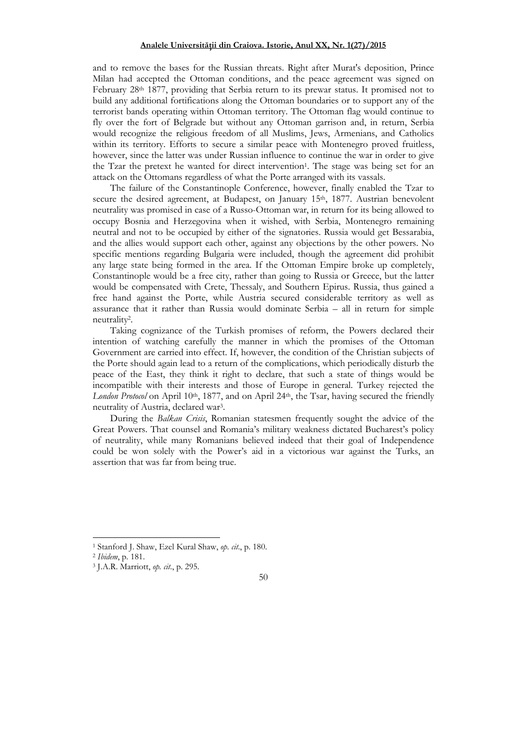and to remove the bases for the Russian threats. Right after Murat's deposition, Prince Milan had accepted the Ottoman conditions, and the peace agreement was signed on February 28th 1877, providing that Serbia return to its prewar status. It promised not to build any additional fortifications along the Ottoman boundaries or to support any of the terrorist bands operating within Ottoman territory. The Ottoman flag would continue to fly over the fort of Belgrade but without any Ottoman garrison and, in return, Serbia would recognize the religious freedom of all Muslims, Jews, Armenians, and Catholics within its territory. Efforts to secure a similar peace with Montenegro proved fruitless, however, since the latter was under Russian influence to continue the war in order to give the Tzar the pretext he wanted for direct intervention<sup>1</sup>. The stage was being set for an attack on the Ottomans regardless of what the Porte arranged with its vassals.

The failure of the Constantinople Conference, however, finally enabled the Tzar to secure the desired agreement, at Budapest, on January 15<sup>th</sup>, 1877. Austrian benevolent neutrality was promised in case of a Russo-Ottoman war, in return for its being allowed to occupy Bosnia and Herzegovina when it wished, with Serbia, Montenegro remaining neutral and not to be occupied by either of the signatories. Russia would get Bessarabia, and the allies would support each other, against any objections by the other powers. No specific mentions regarding Bulgaria were included, though the agreement did prohibit any large state being formed in the area. If the Ottoman Empire broke up completely, Constantinople would be a free city, rather than going to Russia or Greece, but the latter would be compensated with Crete, Thessaly, and Southern Epirus. Russia, thus gained a free hand against the Porte, while Austria secured considerable territory as well as assurance that it rather than Russia would dominate Serbia – all in return for simple neutrality<sup>2</sup> .

Taking cognizance of the Turkish promises of reform, the Powers declared their intention of watching carefully the manner in which the promises of the Ottoman Government are carried into effect. If, however, the condition of the Christian subjects of the Porte should again lead to a return of the complications, which periodically disturb the peace of the East, they think it right to declare, that such a state of things would be incompatible with their interests and those of Europe in general. Turkey rejected the London Protocol on April 10<sup>th</sup>, 1877, and on April 24<sup>th</sup>, the Tsar, having secured the friendly neutrality of Austria, declared war<sup>3</sup> .

During the *Balkan Crisis*, Romanian statesmen frequently sought the advice of the Great Powers. That counsel and Romania's military weakness dictated Bucharest's policy of neutrality, while many Romanians believed indeed that their goal of Independence could be won solely with the Power's aid in a victorious war against the Turks, an assertion that was far from being true.

<sup>1</sup> Stanford J. Shaw, Ezel Kural Shaw, *op. cit*., p. 180.

<sup>2</sup> *Ibidem*, p. 181.

<sup>3</sup> J.A.R. Marriott, *op. cit*., p. 295.

<sup>50</sup>